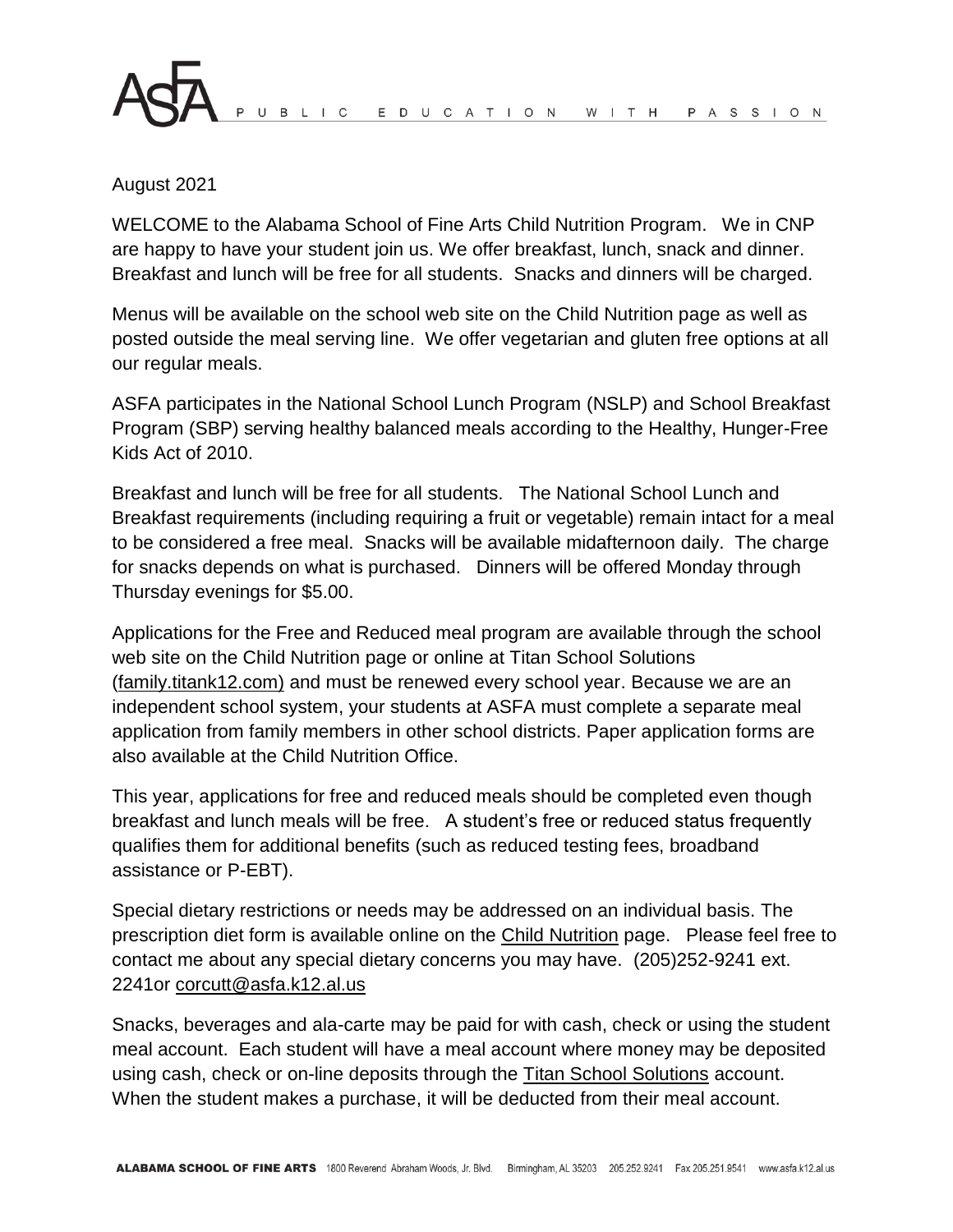## August 2021

WELCOME to the Alabama School of Fine Arts Child Nutrition Program. We in CNP are happy to have your student join us. We offer breakfast, lunch, snack and dinner. Breakfast and lunch will be free for all students. Snacks and dinners will be charged.

Menus will be available on the school web site on the Child Nutrition page as well as posted outside the meal serving line. We offer vegetarian and gluten free options at all our regular meals.

ASFA participates in the National School Lunch Program (NSLP) and School Breakfast Program (SBP) serving healthy balanced meals according to the Healthy, Hunger-Free Kids Act of 2010.

Breakfast and lunch will be free for all students. The National School Lunch and Breakfast requirements (including requiring a fruit or vegetable) remain intact for a meal to be considered a free meal. Snacks will be available midafternoon daily. The charge for snacks depends on what is purchased. Dinners will be offered Monday through Thursday evenings for \$5.00.

Applications for the Free and Reduced meal program are available through the school web site on the Child Nutrition page or online at Titan School Solutions (family.titank12.com) and must be renewed every school year. Because we are an independent school system, your students at ASFA must complete a separate meal application from family members in other school districts. Paper application forms are also available at the Child Nutrition Office.

This year, applications for free and reduced meals should be completed even though breakfast and lunch meals will be free. A student's free or reduced status frequently qualifies them for additional benefits (such as reduced testing fees, broadband assistance or P-EBT).

Special dietary restrictions or needs may be addressed on an individual basis. The prescription diet form is available online on the Child Nutrition page. Please feel free to contact me about any special dietary concerns you may have. (205)252-9241 ext. 2241or corcutt@asfa.k12.al.us

Snacks, beverages and ala-carte may be paid for with cash, check or using the student meal account. Each student will have a meal account where money may be deposited using cash, check or on-line deposits through the Titan School Solutions account. When the student makes a purchase, it will be deducted from their meal account.